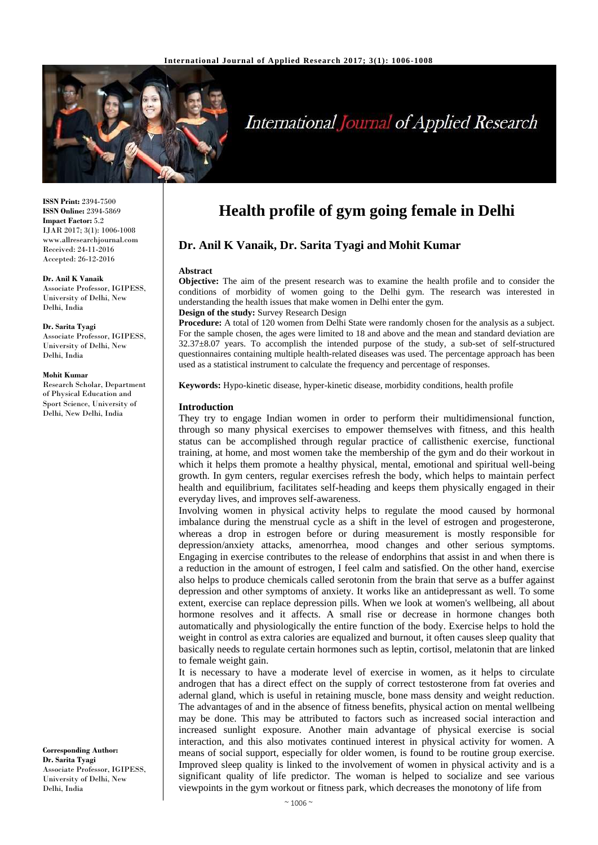

# **International Journal of Applied Research**

**ISSN Print:** 2394-7500 **ISSN Online:** 2394-5869 **Impact Factor:** 5.2 IJAR 2017; 3(1): 1006-1008 www.allresearchjournal.com Received: 24-11-2016 Accepted: 26-12-2016

#### **Dr. Anil K Vanaik**

Associate Professor, IGIPESS, University of Delhi, New Delhi, India

**Dr. Sarita Tyagi** Associate Professor, IGIPESS, University of Delhi, New Delhi, India

#### **Mohit Kumar**

Research Scholar, Department of Physical Education and Sport Science, University of Delhi, New Delhi, India

**Corresponding Author: Dr. Sarita Tyagi** Associate Professor, IGIPESS, University of Delhi, New Delhi, India

# **Health profile of gym going female in Delhi**

# **Dr. Anil K Vanaik, Dr. Sarita Tyagi and Mohit Kumar**

#### **Abstract**

**Objective:** The aim of the present research was to examine the health profile and to consider the conditions of morbidity of women going to the Delhi gym. The research was interested in understanding the health issues that make women in Delhi enter the gym. **Design of the study:** Survey Research Design

**Procedure:** A total of 120 women from Delhi State were randomly chosen for the analysis as a subject. For the sample chosen, the ages were limited to 18 and above and the mean and standard deviation are 32.37±8.07 years. To accomplish the intended purpose of the study, a sub-set of self-structured questionnaires containing multiple health-related diseases was used. The percentage approach has been used as a statistical instrument to calculate the frequency and percentage of responses.

**Keywords:** Hypo-kinetic disease, hyper-kinetic disease, morbidity conditions, health profile

#### **Introduction**

They try to engage Indian women in order to perform their multidimensional function, through so many physical exercises to empower themselves with fitness, and this health status can be accomplished through regular practice of callisthenic exercise, functional training, at home, and most women take the membership of the gym and do their workout in which it helps them promote a healthy physical, mental, emotional and spiritual well-being growth. In gym centers, regular exercises refresh the body, which helps to maintain perfect health and equilibrium, facilitates self-heading and keeps them physically engaged in their everyday lives, and improves self-awareness.

Involving women in physical activity helps to regulate the mood caused by hormonal imbalance during the menstrual cycle as a shift in the level of estrogen and progesterone, whereas a drop in estrogen before or during measurement is mostly responsible for depression/anxiety attacks, amenorrhea, mood changes and other serious symptoms. Engaging in exercise contributes to the release of endorphins that assist in and when there is a reduction in the amount of estrogen, I feel calm and satisfied. On the other hand, exercise also helps to produce chemicals called serotonin from the brain that serve as a buffer against depression and other symptoms of anxiety. It works like an antidepressant as well. To some extent, exercise can replace depression pills. When we look at women's wellbeing, all about hormone resolves and it affects. A small rise or decrease in hormone changes both automatically and physiologically the entire function of the body. Exercise helps to hold the weight in control as extra calories are equalized and burnout, it often causes sleep quality that basically needs to regulate certain hormones such as leptin, cortisol, melatonin that are linked to female weight gain.

It is necessary to have a moderate level of exercise in women, as it helps to circulate androgen that has a direct effect on the supply of correct testosterone from fat overies and adernal gland, which is useful in retaining muscle, bone mass density and weight reduction. The advantages of and in the absence of fitness benefits, physical action on mental wellbeing may be done. This may be attributed to factors such as increased social interaction and increased sunlight exposure. Another main advantage of physical exercise is social interaction, and this also motivates continued interest in physical activity for women. A means of social support, especially for older women, is found to be routine group exercise. Improved sleep quality is linked to the involvement of women in physical activity and is a significant quality of life predictor. The woman is helped to socialize and see various viewpoints in the gym workout or fitness park, which decreases the monotony of life from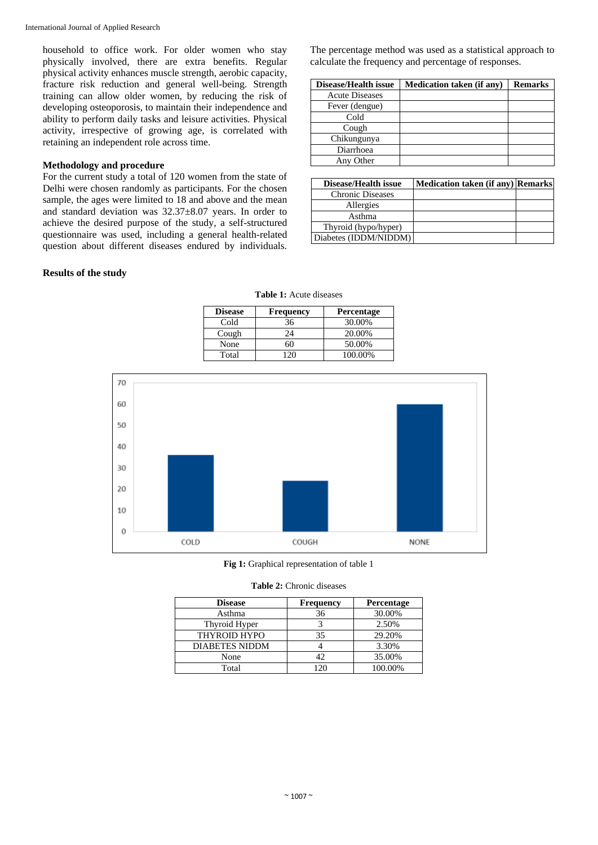household to office work. For older women who stay physically involved, there are extra benefits. Regular physical activity enhances muscle strength, aerobic capacity, fracture risk reduction and general well-being. Strength training can allow older women, by reducing the risk of developing osteoporosis, to maintain their independence and ability to perform daily tasks and leisure activities. Physical activity, irrespective of growing age, is correlated with retaining an independent role across time.

#### **Methodology and procedure**

For the current study a total of 120 women from the state of Delhi were chosen randomly as participants. For the chosen sample, the ages were limited to 18 and above and the mean and standard deviation was 32.37±8.07 years. In order to achieve the desired purpose of the study, a self-structured questionnaire was used, including a general health-related question about different diseases endured by individuals.

### **Results of the study**

The percentage method was used as a statistical approach to calculate the frequency and percentage of responses.

| Disease/Health issue  | <b>Medication taken (if any)</b> | <b>Remarks</b> |
|-----------------------|----------------------------------|----------------|
| <b>Acute Diseases</b> |                                  |                |
| Fever (dengue)        |                                  |                |
| Cold                  |                                  |                |
| Cough                 |                                  |                |
| Chikungunya           |                                  |                |
| Diarrhoea             |                                  |                |
| Any Other             |                                  |                |

| <b>Disease/Health issue</b> | Medication taken (if any) Remarks |  |
|-----------------------------|-----------------------------------|--|
| <b>Chronic Diseases</b>     |                                   |  |
| Allergies                   |                                   |  |
| Asthma                      |                                   |  |
| Thyroid (hypo/hyper)        |                                   |  |
| Diabetes (IDDM/NIDDM)       |                                   |  |

| <b>Table 1:</b> Acute diseases |  |
|--------------------------------|--|
|                                |  |

| <b>Disease</b> | <b>Frequency</b> | <b>Percentage</b> |
|----------------|------------------|-------------------|
| Cold           | 36               | 30.00%            |
| Cough          | 24               | 20.00%            |
| None           |                  | 50.00%            |
| Total          |                  | 100.00%           |



**Fig 1:** Graphical representation of table 1

| <b>Table 2:</b> Chronic diseases |
|----------------------------------|
|                                  |

| <b>Disease</b>        | <b>Frequency</b> | Percentage |
|-----------------------|------------------|------------|
| Asthma                | 36               | 30.00%     |
| Thyroid Hyper         |                  | 2.50%      |
| <b>THYROID HYPO</b>   | 35               | 29.20%     |
| <b>DIABETES NIDDM</b> |                  | 3.30%      |
| None                  | 42               | 35.00%     |
| Total                 | 20               | 100.00%    |